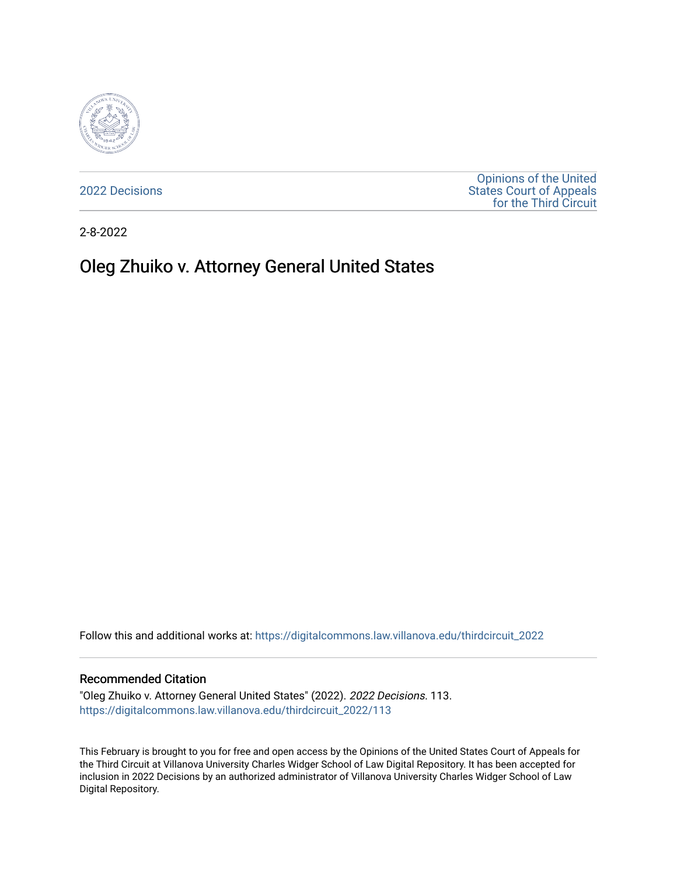

[2022 Decisions](https://digitalcommons.law.villanova.edu/thirdcircuit_2022)

[Opinions of the United](https://digitalcommons.law.villanova.edu/thirdcircuit)  [States Court of Appeals](https://digitalcommons.law.villanova.edu/thirdcircuit)  [for the Third Circuit](https://digitalcommons.law.villanova.edu/thirdcircuit) 

2-8-2022

# Oleg Zhuiko v. Attorney General United States

Follow this and additional works at: [https://digitalcommons.law.villanova.edu/thirdcircuit\\_2022](https://digitalcommons.law.villanova.edu/thirdcircuit_2022?utm_source=digitalcommons.law.villanova.edu%2Fthirdcircuit_2022%2F113&utm_medium=PDF&utm_campaign=PDFCoverPages) 

#### Recommended Citation

"Oleg Zhuiko v. Attorney General United States" (2022). 2022 Decisions. 113. [https://digitalcommons.law.villanova.edu/thirdcircuit\\_2022/113](https://digitalcommons.law.villanova.edu/thirdcircuit_2022/113?utm_source=digitalcommons.law.villanova.edu%2Fthirdcircuit_2022%2F113&utm_medium=PDF&utm_campaign=PDFCoverPages)

This February is brought to you for free and open access by the Opinions of the United States Court of Appeals for the Third Circuit at Villanova University Charles Widger School of Law Digital Repository. It has been accepted for inclusion in 2022 Decisions by an authorized administrator of Villanova University Charles Widger School of Law Digital Repository.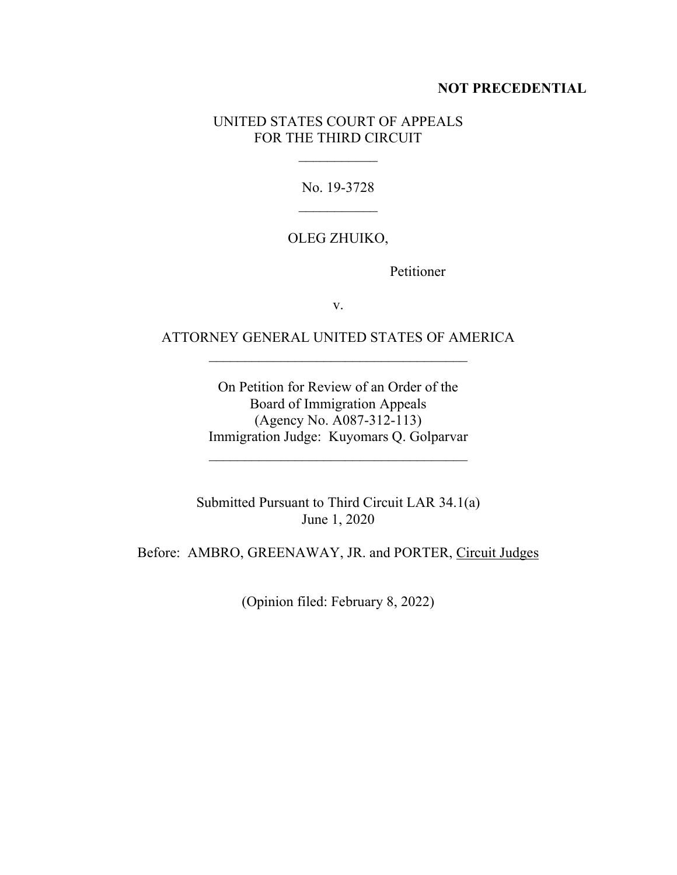#### **NOT PRECEDENTIAL**

### UNITED STATES COURT OF APPEALS FOR THE THIRD CIRCUIT

 $\frac{1}{2}$ 

No. 19-3728  $\frac{1}{2}$ 

## OLEG ZHUIKO,

Petitioner

v.

## ATTORNEY GENERAL UNITED STATES OF AMERICA  $\mathcal{L}_\text{max}$  , where  $\mathcal{L}_\text{max}$  is the set of  $\mathcal{L}_\text{max}$

On Petition for Review of an Order of the Board of Immigration Appeals (Agency No. A087-312-113) Immigration Judge: Kuyomars Q. Golparvar

\_\_\_\_\_\_\_\_\_\_\_\_\_\_\_\_\_\_\_\_\_\_\_\_\_\_\_\_\_\_\_\_\_\_\_\_

Submitted Pursuant to Third Circuit LAR 34.1(a) June 1, 2020

Before: AMBRO, GREENAWAY, JR. and PORTER, Circuit Judges

(Opinion filed: February 8, 2022)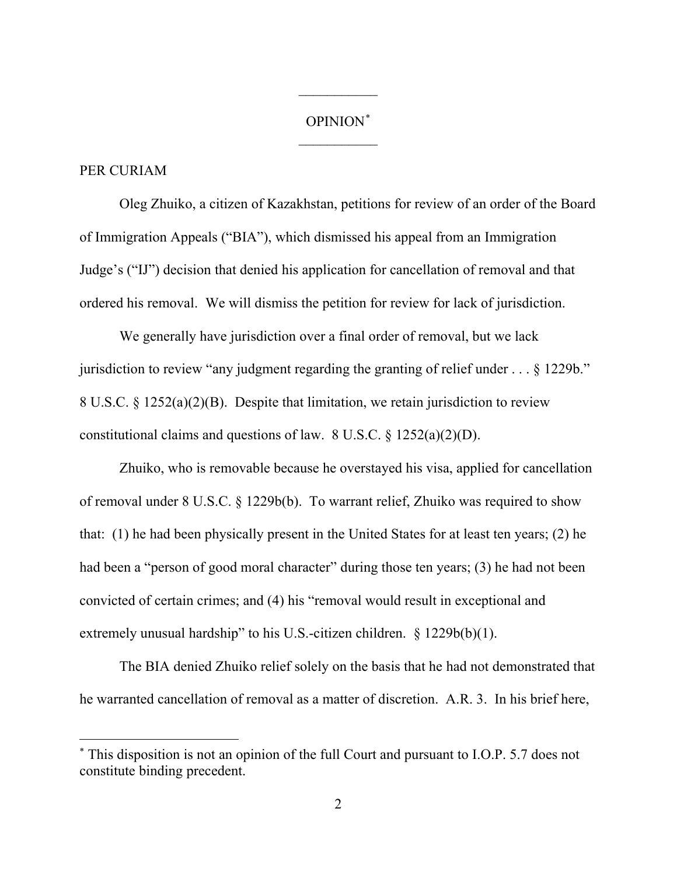## OPINION\*  $\frac{1}{2}$

 $\frac{1}{2}$ 

### PER CURIAM

Oleg Zhuiko, a citizen of Kazakhstan, petitions for review of an order of the Board of Immigration Appeals ("BIA"), which dismissed his appeal from an Immigration Judge's ("IJ") decision that denied his application for cancellation of removal and that ordered his removal. We will dismiss the petition for review for lack of jurisdiction.

We generally have jurisdiction over a final order of removal, but we lack jurisdiction to review "any judgment regarding the granting of relief under . . . § 1229b." 8 U.S.C. § 1252(a)(2)(B). Despite that limitation, we retain jurisdiction to review constitutional claims and questions of law. 8 U.S.C.  $\S$  1252(a)(2)(D).

Zhuiko, who is removable because he overstayed his visa, applied for cancellation of removal under 8 U.S.C. § 1229b(b). To warrant relief, Zhuiko was required to show that: (1) he had been physically present in the United States for at least ten years; (2) he had been a "person of good moral character" during those ten years; (3) he had not been convicted of certain crimes; and (4) his "removal would result in exceptional and extremely unusual hardship" to his U.S.-citizen children. § 1229b(b)(1).

The BIA denied Zhuiko relief solely on the basis that he had not demonstrated that he warranted cancellation of removal as a matter of discretion. A.R. 3. In his brief here,

<sup>\*</sup> This disposition is not an opinion of the full Court and pursuant to I.O.P. 5.7 does not constitute binding precedent.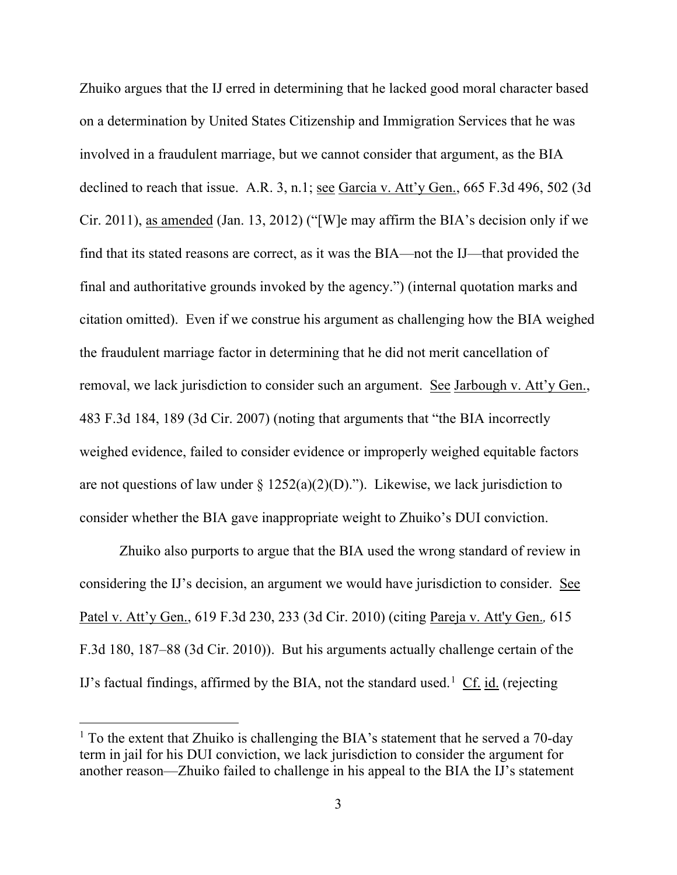Zhuiko argues that the IJ erred in determining that he lacked good moral character based on a determination by United States Citizenship and Immigration Services that he was involved in a fraudulent marriage, but we cannot consider that argument, as the BIA declined to reach that issue. A.R. 3, n.1; <u>see Garcia v. Att'y Gen.</u>, 665 F.3d 496, 502 (3d Cir. 2011), as amended (Jan. 13, 2012) ("[W]e may affirm the BIA's decision only if we find that its stated reasons are correct, as it was the BIA—not the IJ—that provided the final and authoritative grounds invoked by the agency.") (internal quotation marks and citation omitted). Even if we construe his argument as challenging how the BIA weighed the fraudulent marriage factor in determining that he did not merit cancellation of removal, we lack jurisdiction to consider such an argument. See Jarbough v. Att'y Gen., 483 F.3d 184, 189 (3d Cir. 2007) (noting that arguments that "the BIA incorrectly weighed evidence, failed to consider evidence or improperly weighed equitable factors are not questions of law under  $\S 1252(a)(2)(D)$ ."). Likewise, we lack jurisdiction to consider whether the BIA gave inappropriate weight to Zhuiko's DUI conviction.

Zhuiko also purports to argue that the BIA used the wrong standard of review in considering the IJ's decision, an argument we would have jurisdiction to consider. See Patel v. Att'y Gen., 619 F.3d 230, 233 (3d Cir. 2010) (citing Pareja v. Att'y Gen.*,* 615 F.3d 180, 187–88 (3d Cir. 2010)). But his arguments actually challenge certain of the IJ's factual findings, affirmed by the BIA, not the standard used.<sup>1</sup> Cf. id. (rejecting

 $<sup>1</sup>$  To the extent that Zhuiko is challenging the BIA's statement that he served a 70-day</sup> term in jail for his DUI conviction, we lack jurisdiction to consider the argument for another reason—Zhuiko failed to challenge in his appeal to the BIA the IJ's statement